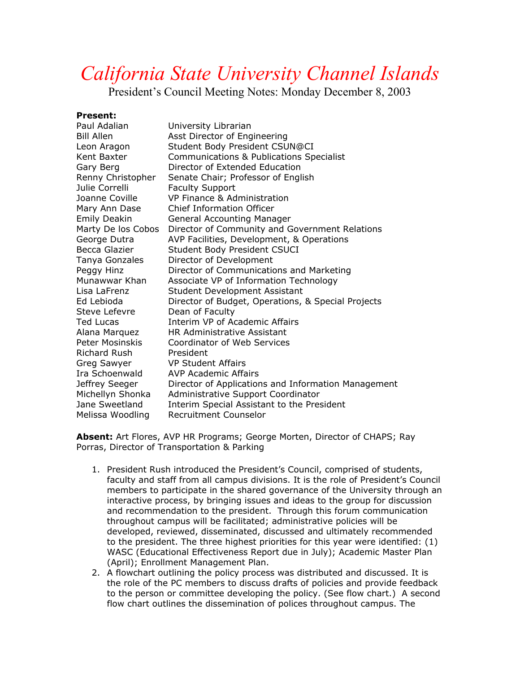## *California State University Channel Islands*

President's Council Meeting Notes: Monday December 8, 2003

**Present:** 

| Paul Adalian        | University Librarian                                |
|---------------------|-----------------------------------------------------|
| <b>Bill Allen</b>   | Asst Director of Engineering                        |
| Leon Aragon         | Student Body President CSUN@CI                      |
| Kent Baxter         | Communications & Publications Specialist            |
| Gary Berg           | Director of Extended Education                      |
| Renny Christopher   | Senate Chair; Professor of English                  |
| Julie Correlli      | <b>Faculty Support</b>                              |
| Joanne Coville      | VP Finance & Administration                         |
| Mary Ann Dase       | <b>Chief Information Officer</b>                    |
| <b>Emily Deakin</b> | <b>General Accounting Manager</b>                   |
| Marty De los Cobos  | Director of Community and Government Relations      |
| George Dutra        | AVP Facilities, Development, & Operations           |
| Becca Glazier       | Student Body President CSUCI                        |
| Tanya Gonzales      | Director of Development                             |
| Peggy Hinz          | Director of Communications and Marketing            |
| Munawwar Khan       | Associate VP of Information Technology              |
| Lisa LaFrenz        | <b>Student Development Assistant</b>                |
| Ed Lebioda          | Director of Budget, Operations, & Special Projects  |
| Steve Lefevre       | Dean of Faculty                                     |
| <b>Ted Lucas</b>    | Interim VP of Academic Affairs                      |
| Alana Marquez       | HR Administrative Assistant                         |
| Peter Mosinskis     | Coordinator of Web Services                         |
| <b>Richard Rush</b> | President                                           |
| Greg Sawyer         | <b>VP Student Affairs</b>                           |
| Ira Schoenwald      | AVP Academic Affairs                                |
| Jeffrey Seeger      | Director of Applications and Information Management |
| Michellyn Shonka    | Administrative Support Coordinator                  |
| Jane Sweetland      | Interim Special Assistant to the President          |
| Melissa Woodling    | Recruitment Counselor                               |

**Absent:** Art Flores, AVP HR Programs; George Morten, Director of CHAPS; Ray Porras, Director of Transportation & Parking

- 1. President Rush introduced the President's Council, comprised of students, faculty and staff from all campus divisions. It is the role of President's Council members to participate in the shared governance of the University through an interactive process, by bringing issues and ideas to the group for discussion and recommendation to the president. Through this forum communication throughout campus will be facilitated; administrative policies will be developed, reviewed, disseminated, discussed and ultimately recommended to the president. The three highest priorities for this year were identified: (1) WASC (Educational Effectiveness Report due in July); Academic Master Plan (April); Enrollment Management Plan.
- 2. A flowchart outlining the policy process was distributed and discussed. It is the role of the PC members to discuss drafts of policies and provide feedback to the person or committee developing the policy. (See flow chart.) A second flow chart outlines the dissemination of polices throughout campus. The